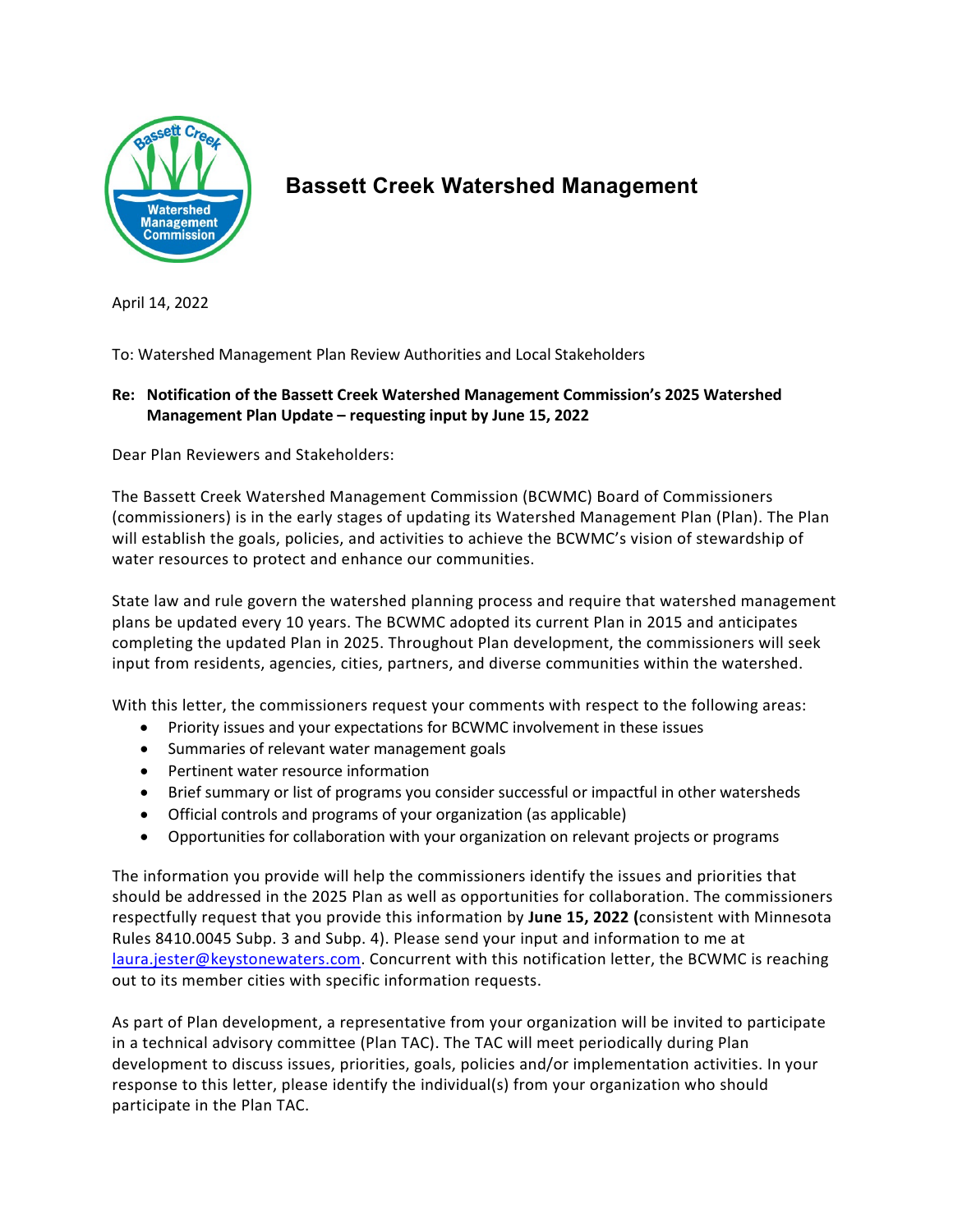

## **Bassett Creek Watershed Management**

April 14, 2022

To: Watershed Management Plan Review Authorities and Local Stakeholders

## **Re: Notification of the Bassett Creek Watershed Management Commission's 2025 Watershed Management Plan Update – requesting input by June 15, 2022**

Dear Plan Reviewers and Stakeholders:

The Bassett Creek Watershed Management Commission (BCWMC) Board of Commissioners (commissioners) is in the early stages of updating its Watershed Management Plan (Plan). The Plan will establish the goals, policies, and activities to achieve the BCWMC's vision of stewardship of water resources to protect and enhance our communities.

State law and rule govern the watershed planning process and require that watershed management plans be updated every 10 years. The BCWMC adopted its current Plan in 2015 and anticipates completing the updated Plan in 2025. Throughout Plan development, the commissioners will seek input from residents, agencies, cities, partners, and diverse communities within the watershed.

With this letter, the commissioners request your comments with respect to the following areas:

- Priority issues and your expectations for BCWMC involvement in these issues
- Summaries of relevant water management goals
- Pertinent water resource information
- Brief summary or list of programs you consider successful or impactful in other watersheds
- Official controls and programs of your organization (as applicable)
- Opportunities for collaboration with your organization on relevant projects or programs

The information you provide will help the commissioners identify the issues and priorities that should be addressed in the 2025 Plan as well as opportunities for collaboration. The commissioners respectfully request that you provide this information by **June 15, 2022 (**consistent with Minnesota Rules 8410.0045 Subp. 3 and Subp. 4). Please send your input and information to me at [laura.jester@keystonewaters.com.](mailto:laura.jester@keystonewaters.com) Concurrent with this notification letter, the BCWMC is reaching out to its member cities with specific information requests.

As part of Plan development, a representative from your organization will be invited to participate in a technical advisory committee (Plan TAC). The TAC will meet periodically during Plan development to discuss issues, priorities, goals, policies and/or implementation activities. In your response to this letter, please identify the individual(s) from your organization who should participate in the Plan TAC.